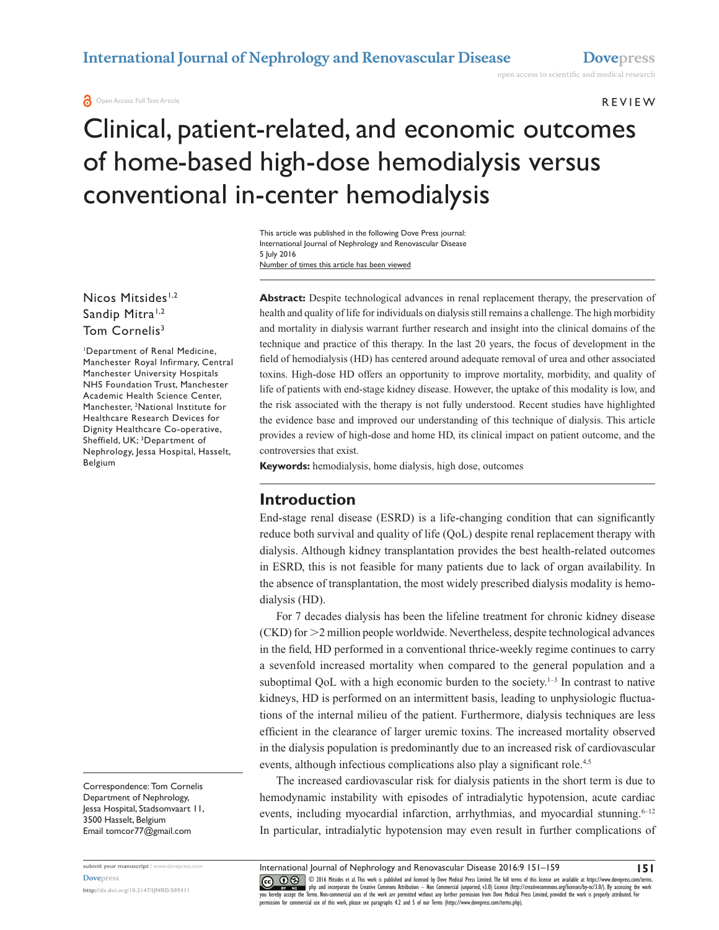#### R e v ie w

# Clinical, patient-related, and economic outcomes of home-based high-dose hemodialysis versus conventional in-center hemodialysis

Number of times this article has been viewed This article was published in the following Dove Press journal: International Journal of Nephrology and Renovascular Disease 5 July 2016

Nicos Mitsides<sup>1,2</sup> Sandip Mitra<sup>1,2</sup> Tom Cornelis<sup>3</sup>

1 Department of Renal Medicine, Manchester Royal Infirmary, Central Manchester University Hospitals NHS Foundation Trust, Manchester Academic Health Science Center, Manchester, 2 National Institute for Healthcare Research Devices for Dignity Healthcare Co-operative, Sheffield, UK; 3 Department of Nephrology, Jessa Hospital, Hasselt, Belgium

Correspondence: Tom Cornelis Department of Nephrology, Jessa Hospital, Stadsomvaart 11, 3500 Hasselt, Belgium Email [tomcor77@gmail.com](mailto:tomcor77@gmail.com)

**submit your manuscript** | <www.dovepress.com> **[Dovepress](www.dovepress.com) <http://dx.doi.org/10.2147/IJNRD.S89411>**

**Abstract:** Despite technological advances in renal replacement therapy, the preservation of health and quality of life for individuals on dialysis still remains a challenge. The high morbidity and mortality in dialysis warrant further research and insight into the clinical domains of the technique and practice of this therapy. In the last 20 years, the focus of development in the field of hemodialysis (HD) has centered around adequate removal of urea and other associated toxins. High-dose HD offers an opportunity to improve mortality, morbidity, and quality of life of patients with end-stage kidney disease. However, the uptake of this modality is low, and the risk associated with the therapy is not fully understood. Recent studies have highlighted the evidence base and improved our understanding of this technique of dialysis. This article provides a review of high-dose and home HD, its clinical impact on patient outcome, and the controversies that exist.

**Keywords:** hemodialysis, home dialysis, high dose, outcomes

### **Introduction**

End-stage renal disease (ESRD) is a life-changing condition that can significantly reduce both survival and quality of life (QoL) despite renal replacement therapy with dialysis. Although kidney transplantation provides the best health-related outcomes in ESRD, this is not feasible for many patients due to lack of organ availability. In the absence of transplantation, the most widely prescribed dialysis modality is hemodialysis (HD).

For 7 decades dialysis has been the lifeline treatment for chronic kidney disease  $(CKD)$  for  $\geq$  2 million people worldwide. Nevertheless, despite technological advances in the field, HD performed in a conventional thrice-weekly regime continues to carry a sevenfold increased mortality when compared to the general population and a suboptimal QoL with a high economic burden to the society. $1-3$  In contrast to native kidneys, HD is performed on an intermittent basis, leading to unphysiologic fluctuations of the internal milieu of the patient. Furthermore, dialysis techniques are less efficient in the clearance of larger uremic toxins. The increased mortality observed in the dialysis population is predominantly due to an increased risk of cardiovascular events, although infectious complications also play a significant role.<sup>4,5</sup>

The increased cardiovascular risk for dialysis patients in the short term is due to hemodynamic instability with episodes of intradialytic hypotension, acute cardiac events, including myocardial infarction, arrhythmias, and myocardial stunning. $6-12$ In particular, intradialytic hypotension may even result in further complications of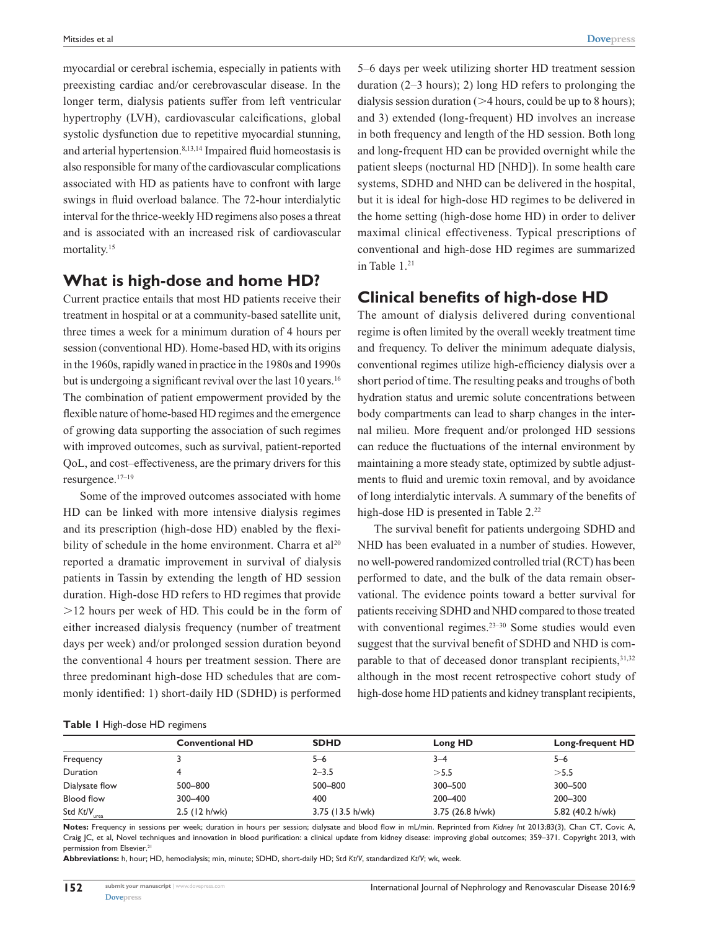myocardial or cerebral ischemia, especially in patients with preexisting cardiac and/or cerebrovascular disease. In the longer term, dialysis patients suffer from left ventricular hypertrophy (LVH), cardiovascular calcifications, global systolic dysfunction due to repetitive myocardial stunning, and arterial hypertension.8,13,14 Impaired fluid homeostasis is also responsible for many of the cardiovascular complications associated with HD as patients have to confront with large swings in fluid overload balance. The 72-hour interdialytic interval for the thrice-weekly HD regimens also poses a threat and is associated with an increased risk of cardiovascular mortality.<sup>15</sup>

# **What is high-dose and home HD?**

Current practice entails that most HD patients receive their treatment in hospital or at a community-based satellite unit, three times a week for a minimum duration of 4 hours per session (conventional HD). Home-based HD, with its origins in the 1960s, rapidly waned in practice in the 1980s and 1990s but is undergoing a significant revival over the last 10 years.<sup>16</sup> The combination of patient empowerment provided by the flexible nature of home-based HD regimes and the emergence of growing data supporting the association of such regimes with improved outcomes, such as survival, patient-reported QoL, and cost–effectiveness, are the primary drivers for this resurgence.17–19

Some of the improved outcomes associated with home HD can be linked with more intensive dialysis regimes and its prescription (high-dose HD) enabled by the flexibility of schedule in the home environment. Charra et  $al^{20}$ reported a dramatic improvement in survival of dialysis patients in Tassin by extending the length of HD session duration. High-dose HD refers to HD regimes that provide .12 hours per week of HD. This could be in the form of either increased dialysis frequency (number of treatment days per week) and/or prolonged session duration beyond the conventional 4 hours per treatment session. There are three predominant high-dose HD schedules that are commonly identified: 1) short-daily HD (SDHD) is performed 5–6 days per week utilizing shorter HD treatment session duration (2–3 hours); 2) long HD refers to prolonging the dialysis session duration ( $>4$  hours, could be up to 8 hours); and 3) extended (long-frequent) HD involves an increase in both frequency and length of the HD session. Both long and long-frequent HD can be provided overnight while the patient sleeps (nocturnal HD [NHD]). In some health care systems, SDHD and NHD can be delivered in the hospital, but it is ideal for high-dose HD regimes to be delivered in the home setting (high-dose home HD) in order to deliver maximal clinical effectiveness. Typical prescriptions of conventional and high-dose HD regimes are summarized in Table 1.<sup>21</sup>

### **Clinical benefits of high-dose HD**

The amount of dialysis delivered during conventional regime is often limited by the overall weekly treatment time and frequency. To deliver the minimum adequate dialysis, conventional regimes utilize high-efficiency dialysis over a short period of time. The resulting peaks and troughs of both hydration status and uremic solute concentrations between body compartments can lead to sharp changes in the internal milieu. More frequent and/or prolonged HD sessions can reduce the fluctuations of the internal environment by maintaining a more steady state, optimized by subtle adjustments to fluid and uremic toxin removal, and by avoidance of long interdialytic intervals. A summary of the benefits of high-dose HD is presented in Table 2.<sup>22</sup>

The survival benefit for patients undergoing SDHD and NHD has been evaluated in a number of studies. However, no well-powered randomized controlled trial (RCT) has been performed to date, and the bulk of the data remain observational. The evidence points toward a better survival for patients receiving SDHD and NHD compared to those treated with conventional regimes.<sup>23–30</sup> Some studies would even suggest that the survival benefit of SDHD and NHD is comparable to that of deceased donor transplant recipients, 31,32 although in the most recent retrospective cohort study of high-dose home HD patients and kidney transplant recipients,

|  |  | Table I High-dose HD regimens |  |  |
|--|--|-------------------------------|--|--|
|--|--|-------------------------------|--|--|

|                          | <b>Conventional HD</b> | <b>SDHD</b>      | Long HD          | <b>Long-frequent HD</b> |
|--------------------------|------------------------|------------------|------------------|-------------------------|
| Frequency                |                        | 5-6              | $3 - 4$          | $5 - 6$                 |
| Duration                 |                        | $2 - 3.5$        | >5.5             | $>$ 5.5                 |
| Dialysate flow           | 500-800                | 500-800          | 300-500          | 300-500                 |
| <b>Blood flow</b>        | 300-400                | 400              | 200-400          | 200-300                 |
| Std Kt/V <sub>urea</sub> | $2.5$ (12 h/wk)        | 3.75 (13.5 h/wk) | 3.75 (26.8 h/wk) | 5.82 (40.2 h/wk)        |

**Notes:** Frequency in sessions per week; duration in hours per session; dialysate and blood flow in mL/min. Reprinted from *Kidney Int* 2013;83(3), Chan CT, Covic A, Craig JC, et al, Novel techniques and innovation in blood purification: a clinical update from kidney disease: improving global outcomes; 359–371. Copyright 2013, with permission from Elsevier.<sup>21</sup>

**Abbreviations:** h, hour; HD, hemodialysis; min, minute; SDHD, short-daily HD; Std *Kt*/*V*, standardized *Kt*/*V*; wk, week.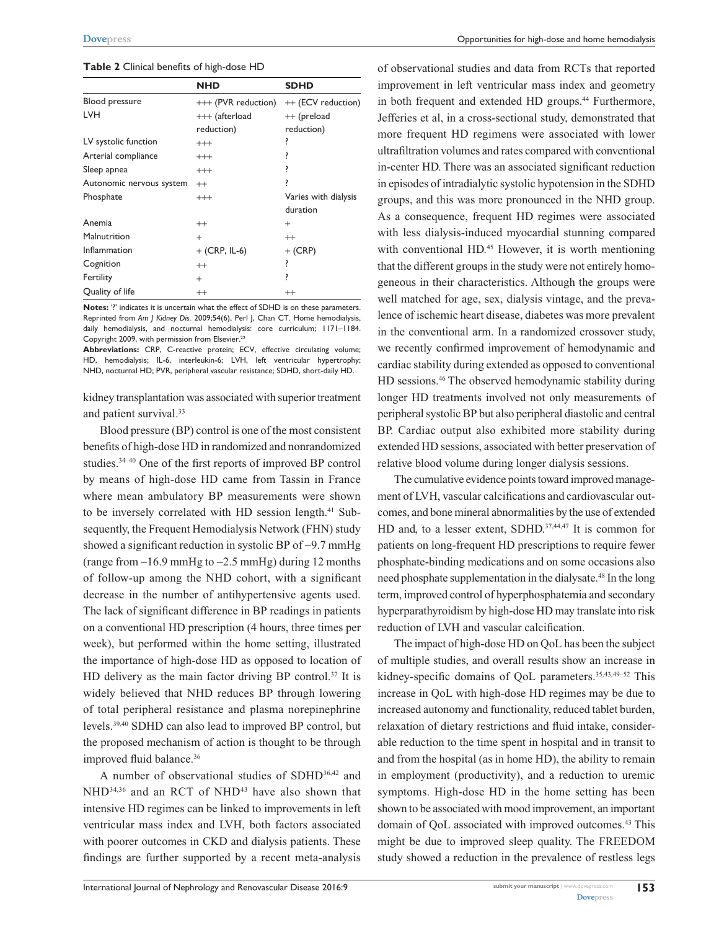#### **Table 2** Clinical benefits of high-dose HD

|                          | <b>NHD</b>          | <b>SDHD</b>          |  |
|--------------------------|---------------------|----------------------|--|
| Blood pressure           | +++ (PVR reduction) | ++ (ECV reduction)   |  |
| <b>LVH</b>               | $++$ (afterload     | $++$ (preload        |  |
|                          | reduction)          | reduction)           |  |
| LV systolic function     | $^{+++}$            |                      |  |
| Arterial compliance      | $^{+++}$            | ŗ                    |  |
| Sleep apnea              | $^{+++}$            |                      |  |
| Autonomic nervous system | $^{++}$             |                      |  |
| Phosphate                | $^{+++}$            | Varies with dialysis |  |
|                          |                     | duration             |  |
| Anemia                   | $^{++}$             | $^{+}$               |  |
| Malnutrition             | $^{+}$              | $^{++}$              |  |
| Inflammation             | $+$ (CRP, IL-6)     | $+$ (CRP)            |  |
| Cognition                | $^{++}$             | i                    |  |
| Fertility                | $^{+}$              | ŗ                    |  |
| Quality of life          | $^{++}$             | $^{++}$              |  |

**Notes:** '?' indicates it is uncertain what the effect of SDHD is on these parameters. Reprinted from *Am J Kidney Dis*. 2009;54(6), Perl J, Chan CT. Home hemodialysis, daily hemodialysis, and nocturnal hemodialysis: core curriculum; 1171–1184. Copyright 2009, with permission from Elsevier.<sup>22</sup>

**Abbreviations:** CRP, C-reactive protein; ECV, effective circulating volume; HD, hemodialysis; IL-6, interleukin-6; LVH, left ventricular hypertrophy; NHD, nocturnal HD; PVR, peripheral vascular resistance; SDHD, short-daily HD.

kidney transplantation was associated with superior treatment and patient survival.<sup>33</sup>

Blood pressure (BP) control is one of the most consistent benefits of high-dose HD in randomized and nonrandomized studies.34–40 One of the first reports of improved BP control by means of high-dose HD came from Tassin in France where mean ambulatory BP measurements were shown to be inversely correlated with HD session length.<sup>41</sup> Subsequently, the Frequent Hemodialysis Network (FHN) study showed a significant reduction in systolic BP of −9.7 mmHg (range from −16.9 mmHg to −2.5 mmHg) during 12 months of follow-up among the NHD cohort, with a significant decrease in the number of antihypertensive agents used. The lack of significant difference in BP readings in patients on a conventional HD prescription (4 hours, three times per week), but performed within the home setting, illustrated the importance of high-dose HD as opposed to location of HD delivery as the main factor driving BP control.<sup>37</sup> It is widely believed that NHD reduces BP through lowering of total peripheral resistance and plasma norepinephrine levels.39,40 SDHD can also lead to improved BP control, but the proposed mechanism of action is thought to be through improved fluid balance.<sup>36</sup>

A number of observational studies of SDHD36,42 and NHD<sup>34,36</sup> and an RCT of NHD<sup>43</sup> have also shown that intensive HD regimes can be linked to improvements in left ventricular mass index and LVH, both factors associated with poorer outcomes in CKD and dialysis patients. These findings are further supported by a recent meta-analysis of observational studies and data from RCTs that reported improvement in left ventricular mass index and geometry in both frequent and extended HD groups.<sup>44</sup> Furthermore, Jefferies et al, in a cross-sectional study, demonstrated that more frequent HD regimens were associated with lower ultrafiltration volumes and rates compared with conventional in-center HD. There was an associated significant reduction in episodes of intradialytic systolic hypotension in the SDHD groups, and this was more pronounced in the NHD group. As a consequence, frequent HD regimes were associated with less dialysis-induced myocardial stunning compared with conventional HD.<sup>45</sup> However, it is worth mentioning that the different groups in the study were not entirely homogeneous in their characteristics. Although the groups were well matched for age, sex, dialysis vintage, and the prevalence of ischemic heart disease, diabetes was more prevalent in the conventional arm. In a randomized crossover study, we recently confirmed improvement of hemodynamic and cardiac stability during extended as opposed to conventional HD sessions.46 The observed hemodynamic stability during longer HD treatments involved not only measurements of peripheral systolic BP but also peripheral diastolic and central BP. Cardiac output also exhibited more stability during extended HD sessions, associated with better preservation of relative blood volume during longer dialysis sessions.

The cumulative evidence points toward improved management of LVH, vascular calcifications and cardiovascular outcomes, and bone mineral abnormalities by the use of extended HD and, to a lesser extent, SDHD.<sup>37,44,47</sup> It is common for patients on long-frequent HD prescriptions to require fewer phosphate-binding medications and on some occasions also need phosphate supplementation in the dialysate.48 In the long term, improved control of hyperphosphatemia and secondary hyperparathyroidism by high-dose HD may translate into risk reduction of LVH and vascular calcification.

The impact of high-dose HD on QoL has been the subject of multiple studies, and overall results show an increase in kidney-specific domains of QoL parameters.35,43,49–52 This increase in QoL with high-dose HD regimes may be due to increased autonomy and functionality, reduced tablet burden, relaxation of dietary restrictions and fluid intake, considerable reduction to the time spent in hospital and in transit to and from the hospital (as in home HD), the ability to remain in employment (productivity), and a reduction to uremic symptoms. High-dose HD in the home setting has been shown to be associated with mood improvement, an important domain of QoL associated with improved outcomes.<sup>43</sup> This might be due to improved sleep quality. The FREEDOM study showed a reduction in the prevalence of restless legs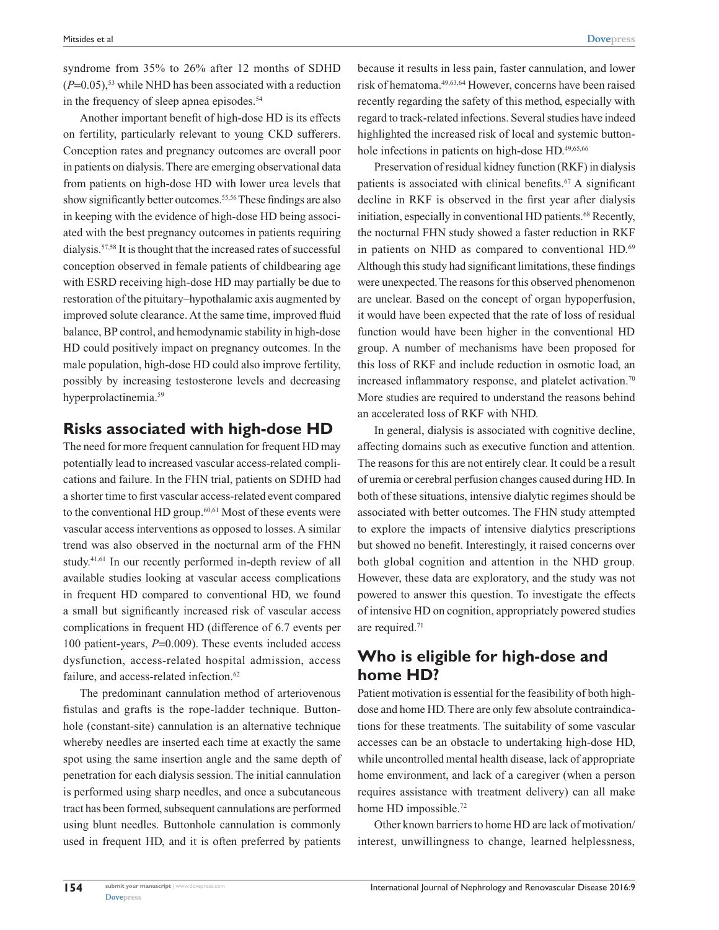syndrome from 35% to 26% after 12 months of SDHD  $(P=0.05)$ ,<sup>53</sup> while NHD has been associated with a reduction in the frequency of sleep apnea episodes.<sup>54</sup>

Another important benefit of high-dose HD is its effects on fertility, particularly relevant to young CKD sufferers. Conception rates and pregnancy outcomes are overall poor in patients on dialysis. There are emerging observational data from patients on high-dose HD with lower urea levels that show significantly better outcomes.<sup>55,56</sup> These findings are also in keeping with the evidence of high-dose HD being associated with the best pregnancy outcomes in patients requiring dialysis.57,58 It is thought that the increased rates of successful conception observed in female patients of childbearing age with ESRD receiving high-dose HD may partially be due to restoration of the pituitary–hypothalamic axis augmented by improved solute clearance. At the same time, improved fluid balance, BP control, and hemodynamic stability in high-dose HD could positively impact on pregnancy outcomes. In the male population, high-dose HD could also improve fertility, possibly by increasing testosterone levels and decreasing hyperprolactinemia.59

## **Risks associated with high-dose HD**

The need for more frequent cannulation for frequent HD may potentially lead to increased vascular access-related complications and failure. In the FHN trial, patients on SDHD had a shorter time to first vascular access-related event compared to the conventional HD group. $60,61$  Most of these events were vascular access interventions as opposed to losses. A similar trend was also observed in the nocturnal arm of the FHN study.<sup>41,61</sup> In our recently performed in-depth review of all available studies looking at vascular access complications in frequent HD compared to conventional HD, we found a small but significantly increased risk of vascular access complications in frequent HD (difference of 6.7 events per 100 patient-years, *P*=0.009). These events included access dysfunction, access-related hospital admission, access failure, and access-related infection.<sup>62</sup>

The predominant cannulation method of arteriovenous fistulas and grafts is the rope-ladder technique. Buttonhole (constant-site) cannulation is an alternative technique whereby needles are inserted each time at exactly the same spot using the same insertion angle and the same depth of penetration for each dialysis session. The initial cannulation is performed using sharp needles, and once a subcutaneous tract has been formed, subsequent cannulations are performed using blunt needles. Buttonhole cannulation is commonly used in frequent HD, and it is often preferred by patients

because it results in less pain, faster cannulation, and lower risk of hematoma.49,63,64 However, concerns have been raised recently regarding the safety of this method, especially with regard to track-related infections. Several studies have indeed highlighted the increased risk of local and systemic buttonhole infections in patients on high-dose HD.<sup>49,65,66</sup>

Preservation of residual kidney function (RKF) in dialysis patients is associated with clinical benefits. $67$  A significant decline in RKF is observed in the first year after dialysis initiation, especially in conventional HD patients.<sup>68</sup> Recently, the nocturnal FHN study showed a faster reduction in RKF in patients on NHD as compared to conventional HD.<sup>69</sup> Although this study had significant limitations, these findings were unexpected. The reasons for this observed phenomenon are unclear. Based on the concept of organ hypoperfusion, it would have been expected that the rate of loss of residual function would have been higher in the conventional HD group. A number of mechanisms have been proposed for this loss of RKF and include reduction in osmotic load, an increased inflammatory response, and platelet activation.<sup>70</sup> More studies are required to understand the reasons behind an accelerated loss of RKF with NHD.

In general, dialysis is associated with cognitive decline, affecting domains such as executive function and attention. The reasons for this are not entirely clear. It could be a result of uremia or cerebral perfusion changes caused during HD. In both of these situations, intensive dialytic regimes should be associated with better outcomes. The FHN study attempted to explore the impacts of intensive dialytics prescriptions but showed no benefit. Interestingly, it raised concerns over both global cognition and attention in the NHD group. However, these data are exploratory, and the study was not powered to answer this question. To investigate the effects of intensive HD on cognition, appropriately powered studies are required.71

# **Who is eligible for high-dose and home HD?**

Patient motivation is essential for the feasibility of both highdose and home HD. There are only few absolute contraindications for these treatments. The suitability of some vascular accesses can be an obstacle to undertaking high-dose HD, while uncontrolled mental health disease, lack of appropriate home environment, and lack of a caregiver (when a person requires assistance with treatment delivery) can all make home HD impossible.<sup>72</sup>

Other known barriers to home HD are lack of motivation/ interest, unwillingness to change, learned helplessness,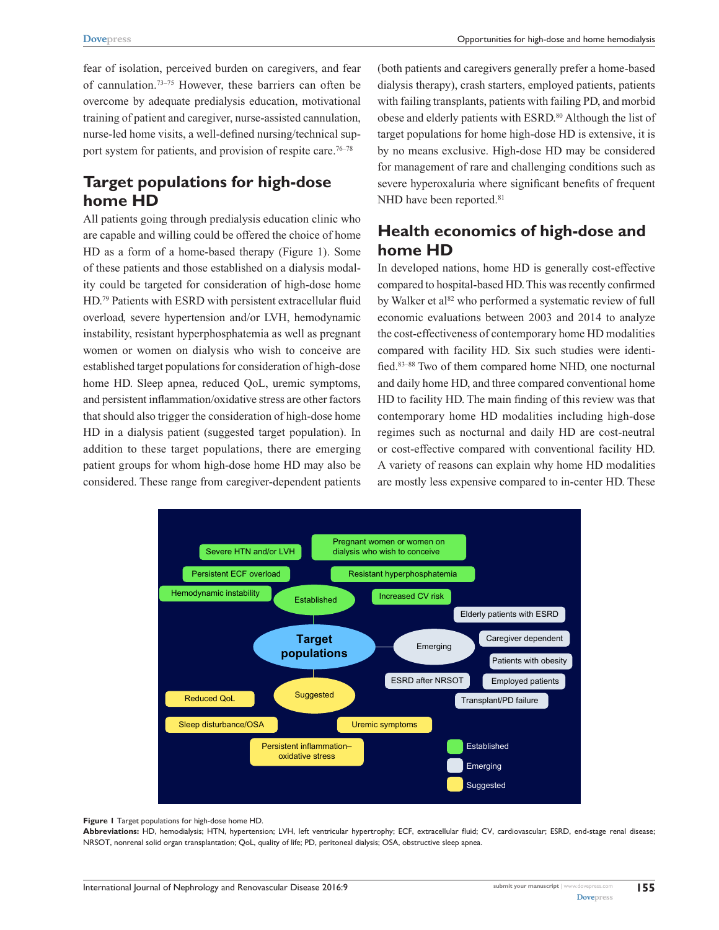fear of isolation, perceived burden on caregivers, and fear of cannulation.73–75 However, these barriers can often be overcome by adequate predialysis education, motivational training of patient and caregiver, nurse-assisted cannulation, nurse-led home visits, a well-defined nursing/technical support system for patients, and provision of respite care.<sup>76–78</sup>

# **Target populations for high-dose home HD**

All patients going through predialysis education clinic who are capable and willing could be offered the choice of home HD as a form of a home-based therapy (Figure 1). Some of these patients and those established on a dialysis modality could be targeted for consideration of high-dose home HD.79 Patients with ESRD with persistent extracellular fluid overload, severe hypertension and/or LVH, hemodynamic instability, resistant hyperphosphatemia as well as pregnant women or women on dialysis who wish to conceive are established target populations for consideration of high-dose home HD. Sleep apnea, reduced QoL, uremic symptoms, and persistent inflammation/oxidative stress are other factors that should also trigger the consideration of high-dose home HD in a dialysis patient (suggested target population). In addition to these target populations, there are emerging patient groups for whom high-dose home HD may also be considered. These range from caregiver-dependent patients (both patients and caregivers generally prefer a home-based dialysis therapy), crash starters, employed patients, patients with failing transplants, patients with failing PD, and morbid obese and elderly patients with ESRD.<sup>80</sup> Although the list of target populations for home high-dose HD is extensive, it is by no means exclusive. High-dose HD may be considered for management of rare and challenging conditions such as severe hyperoxaluria where significant benefits of frequent NHD have been reported.<sup>81</sup>

# **Health economics of high-dose and home HD**

In developed nations, home HD is generally cost-effective compared to hospital-based HD. This was recently confirmed by Walker et al<sup>82</sup> who performed a systematic review of full economic evaluations between 2003 and 2014 to analyze the cost-effectiveness of contemporary home HD modalities compared with facility HD. Six such studies were identified.<sup>83–88</sup> Two of them compared home NHD, one nocturnal and daily home HD, and three compared conventional home HD to facility HD. The main finding of this review was that contemporary home HD modalities including high-dose regimes such as nocturnal and daily HD are cost-neutral or cost-effective compared with conventional facility HD. A variety of reasons can explain why home HD modalities are mostly less expensive compared to in-center HD. These



#### **Figure 1** Target populations for high-dose home HD.

**Abbreviations:** HD, hemodialysis; HTN, hypertension; LVH, left ventricular hypertrophy; ECF, extracellular fluid; CV, cardiovascular; ESRD, end-stage renal disease; NRSOT, nonrenal solid organ transplantation; QoL, quality of life; PD, peritoneal dialysis; OSA, obstructive sleep apnea.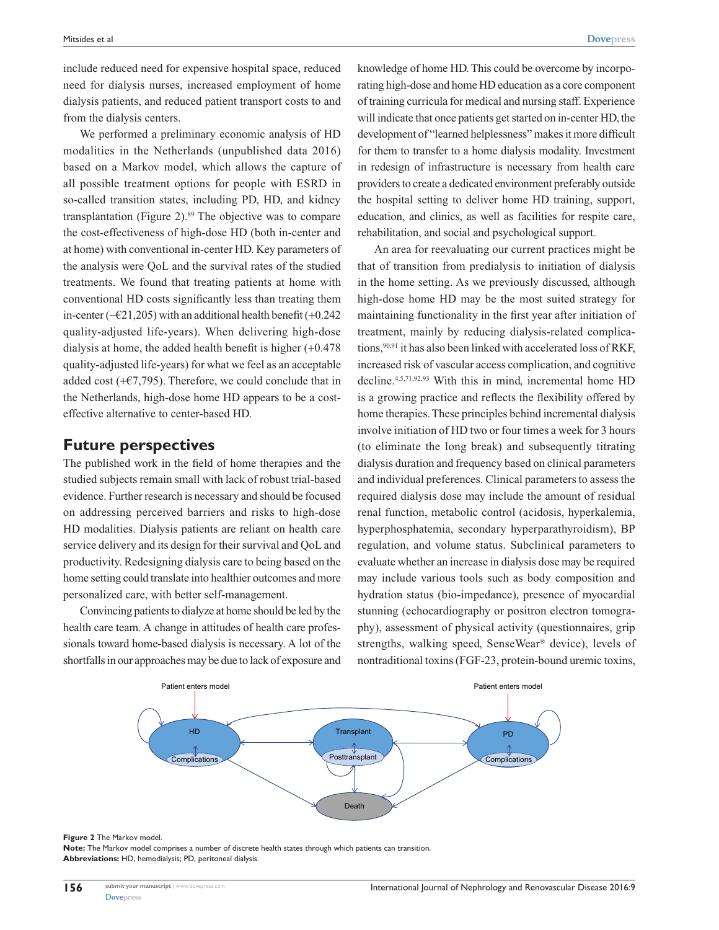include reduced need for expensive hospital space, reduced need for dialysis nurses, increased employment of home dialysis patients, and reduced patient transport costs to and from the dialysis centers.

We performed a preliminary economic analysis of HD modalities in the Netherlands (unpublished data 2016) based on a Markov model, which allows the capture of all possible treatment options for people with ESRD in so-called transition states, including PD, HD, and kidney transplantation (Figure 2). $89$  The objective was to compare the cost-effectiveness of high-dose HD (both in-center and at home) with conventional in-center HD. Key parameters of the analysis were QoL and the survival rates of the studied treatments. We found that treating patients at home with conventional HD costs significantly less than treating them in-center (−€21,205) with an additional health benefit (+0.242 quality-adjusted life-years). When delivering high-dose dialysis at home, the added health benefit is higher (+0.478 quality-adjusted life-years) for what we feel as an acceptable added cost (+ $\epsilon$ 7,795). Therefore, we could conclude that in the Netherlands, high-dose home HD appears to be a costeffective alternative to center-based HD.

### **Future perspectives**

The published work in the field of home therapies and the studied subjects remain small with lack of robust trial-based evidence. Further research is necessary and should be focused on addressing perceived barriers and risks to high-dose HD modalities. Dialysis patients are reliant on health care service delivery and its design for their survival and QoL and productivity. Redesigning dialysis care to being based on the home setting could translate into healthier outcomes and more personalized care, with better self-management.

Convincing patients to dialyze at home should be led by the health care team. A change in attitudes of health care professionals toward home-based dialysis is necessary. A lot of the shortfalls in our approaches may be due to lack of exposure and knowledge of home HD. This could be overcome by incorporating high-dose and home HD education as a core component of training curricula for medical and nursing staff. Experience will indicate that once patients get started on in-center HD, the development of "learned helplessness" makes it more difficult for them to transfer to a home dialysis modality. Investment in redesign of infrastructure is necessary from health care providers to create a dedicated environment preferably outside the hospital setting to deliver home HD training, support, education, and clinics, as well as facilities for respite care, rehabilitation, and social and psychological support.

An area for reevaluating our current practices might be that of transition from predialysis to initiation of dialysis in the home setting. As we previously discussed, although high-dose home HD may be the most suited strategy for maintaining functionality in the first year after initiation of treatment, mainly by reducing dialysis-related complications,<sup>90,91</sup> it has also been linked with accelerated loss of RKF, increased risk of vascular access complication, and cognitive decline.4,5,71,92,93 With this in mind, incremental home HD is a growing practice and reflects the flexibility offered by home therapies. These principles behind incremental dialysis involve initiation of HD two or four times a week for 3 hours (to eliminate the long break) and subsequently titrating dialysis duration and frequency based on clinical parameters and individual preferences. Clinical parameters to assess the required dialysis dose may include the amount of residual renal function, metabolic control (acidosis, hyperkalemia, hyperphosphatemia, secondary hyperparathyroidism), BP regulation, and volume status. Subclinical parameters to evaluate whether an increase in dialysis dose may be required may include various tools such as body composition and hydration status (bio-impedance), presence of myocardial stunning (echocardiography or positron electron tomography), assessment of physical activity (questionnaires, grip strengths, walking speed, SenseWear® device), levels of nontraditional toxins (FGF-23, protein-bound uremic toxins,



#### **Figure 2** The Markov model.

**Note:** The Markov model comprises a number of discrete health states through which patients can transition. **Abbreviations:** HD, hemodialysis; PD, peritoneal dialysis.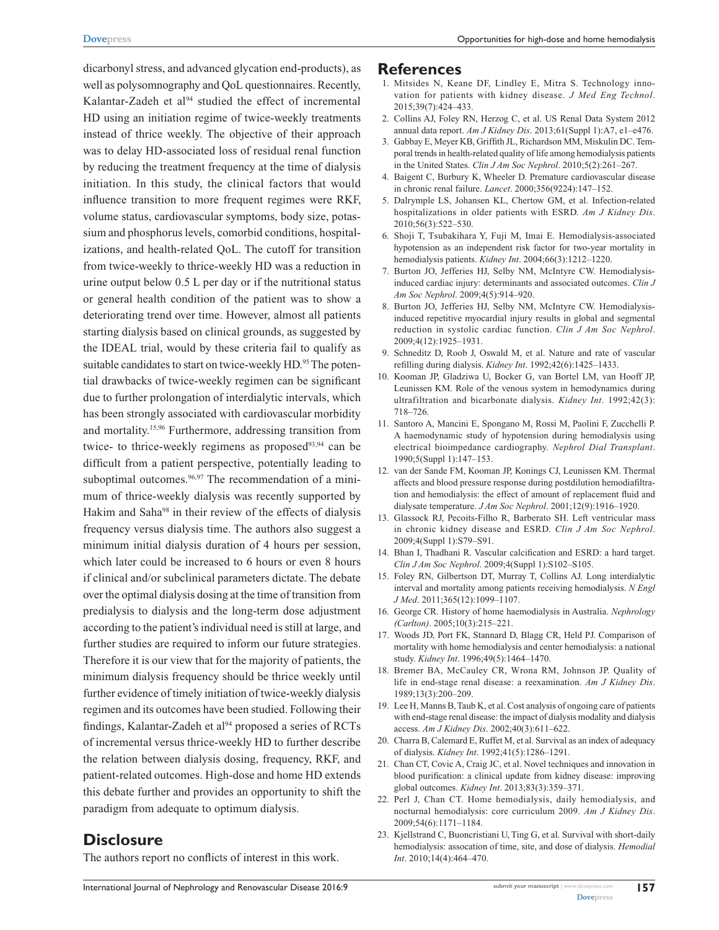dicarbonyl stress, and advanced glycation end-products), as well as polysomnography and QoL questionnaires. Recently, Kalantar-Zadeh et al<sup>94</sup> studied the effect of incremental HD using an initiation regime of twice-weekly treatments instead of thrice weekly. The objective of their approach was to delay HD-associated loss of residual renal function by reducing the treatment frequency at the time of dialysis initiation. In this study, the clinical factors that would influence transition to more frequent regimes were RKF, volume status, cardiovascular symptoms, body size, potassium and phosphorus levels, comorbid conditions, hospitalizations, and health-related QoL. The cutoff for transition from twice-weekly to thrice-weekly HD was a reduction in urine output below 0.5 L per day or if the nutritional status or general health condition of the patient was to show a deteriorating trend over time. However, almost all patients starting dialysis based on clinical grounds, as suggested by the IDEAL trial, would by these criteria fail to qualify as suitable candidates to start on twice-weekly HD.<sup>95</sup> The potential drawbacks of twice-weekly regimen can be significant due to further prolongation of interdialytic intervals, which has been strongly associated with cardiovascular morbidity and mortality.15,96 Furthermore, addressing transition from twice- to thrice-weekly regimens as proposed $93,94$  can be difficult from a patient perspective, potentially leading to suboptimal outcomes. $96,97$  The recommendation of a minimum of thrice-weekly dialysis was recently supported by Hakim and Saha<sup>98</sup> in their review of the effects of dialysis frequency versus dialysis time. The authors also suggest a minimum initial dialysis duration of 4 hours per session, which later could be increased to 6 hours or even 8 hours if clinical and/or subclinical parameters dictate. The debate over the optimal dialysis dosing at the time of transition from predialysis to dialysis and the long-term dose adjustment according to the patient's individual need is still at large, and further studies are required to inform our future strategies. Therefore it is our view that for the majority of patients, the minimum dialysis frequency should be thrice weekly until further evidence of timely initiation of twice-weekly dialysis regimen and its outcomes have been studied. Following their findings, Kalantar-Zadeh et al<sup>94</sup> proposed a series of RCTs of incremental versus thrice-weekly HD to further describe the relation between dialysis dosing, frequency, RKF, and patient-related outcomes. High-dose and home HD extends this debate further and provides an opportunity to shift the paradigm from adequate to optimum dialysis.

## **Disclosure**

The authors report no conflicts of interest in this work.

#### **References**

- 1. Mitsides N, Keane DF, Lindley E, Mitra S. Technology innovation for patients with kidney disease. *J Med Eng Technol*. 2015;39(7):424–433.
- 2. Collins AJ, Foley RN, Herzog C, et al. US Renal Data System 2012 annual data report. *Am J Kidney Dis*. 2013;61(Suppl 1):A7, e1–e476.
- 3. Gabbay E, Meyer KB, Griffith JL, Richardson MM, Miskulin DC. Temporal trends in health-related quality of life among hemodialysis patients in the United States. *Clin J Am Soc Nephrol*. 2010;5(2):261–267.
- 4. Baigent C, Burbury K, Wheeler D. Premature cardiovascular disease in chronic renal failure. *Lancet*. 2000;356(9224):147–152.
- 5. Dalrymple LS, Johansen KL, Chertow GM, et al. Infection-related hospitalizations in older patients with ESRD. *Am J Kidney Dis*.  $2010:56(3):522 - 530$
- 6. Shoji T, Tsubakihara Y, Fuji M, Imai E. Hemodialysis-associated hypotension as an independent risk factor for two-year mortality in hemodialysis patients. *Kidney Int*. 2004;66(3):1212–1220.
- 7. Burton JO, Jefferies HJ, Selby NM, McIntyre CW. Hemodialysisinduced cardiac injury: determinants and associated outcomes. *Clin J Am Soc Nephrol*. 2009;4(5):914–920.
- 8. Burton JO, Jefferies HJ, Selby NM, McIntyre CW. Hemodialysisinduced repetitive myocardial injury results in global and segmental reduction in systolic cardiac function. *Clin J Am Soc Nephrol*. 2009;4(12):1925–1931.
- 9. Schneditz D, Roob J, Oswald M, et al. Nature and rate of vascular refilling during dialysis. *Kidney Int*. 1992;42(6):1425–1433.
- 10. Kooman JP, Gladziwa U, Bocker G, van Bortel LM, van Hooff JP, Leunissen KM. Role of the venous system in hemodynamics during ultrafiltration and bicarbonate dialysis. *Kidney Int*. 1992;42(3): 718–726.
- 11. Santoro A, Mancini E, Spongano M, Rossi M, Paolini F, Zucchelli P. A haemodynamic study of hypotension during hemodialysis using electrical bioimpedance cardiography. *Nephrol Dial Transplant*. 1990;5(Suppl 1):147–153.
- 12. van der Sande FM, Kooman JP, Konings CJ, Leunissen KM. Thermal affects and blood pressure response during postdilution hemodiafiltration and hemodialysis: the effect of amount of replacement fluid and dialysate temperature. *J Am Soc Nephrol*. 2001;12(9):1916–1920.
- 13. Glassock RJ, Pecoits-Filho R, Barberato SH. Left ventricular mass in chronic kidney disease and ESRD. *Clin J Am Soc Nephrol*. 2009;4(Suppl 1):S79–S91.
- 14. Bhan I, Thadhani R. Vascular calcification and ESRD: a hard target. *Clin J Am Soc Nephrol*. 2009;4(Suppl 1):S102–S105.
- 15. Foley RN, Gilbertson DT, Murray T, Collins AJ. Long interdialytic interval and mortality among patients receiving hemodialysis. *N Engl J Med*. 2011;365(12):1099–1107.
- 16. George CR. History of home haemodialysis in Australia. *Nephrology (Carlton)*. 2005;10(3):215–221.
- 17. Woods JD, Port FK, Stannard D, Blagg CR, Held PJ. Comparison of mortality with home hemodialysis and center hemodialysis: a national study. *Kidney Int*. 1996;49(5):1464–1470.
- 18. Bremer BA, McCauley CR, Wrona RM, Johnson JP. Quality of life in end-stage renal disease: a reexamination. *Am J Kidney Dis*. 1989;13(3):200–209.
- 19. Lee H, Manns B, Taub K, et al. Cost analysis of ongoing care of patients with end-stage renal disease: the impact of dialysis modality and dialysis access. *Am J Kidney Dis*. 2002;40(3):611–622.
- 20. Charra B, Calemard E, Ruffet M, et al. Survival as an index of adequacy of dialysis. *Kidney Int*. 1992;41(5):1286–1291.
- 21. Chan CT, Covic A, Craig JC, et al. Novel techniques and innovation in blood purification: a clinical update from kidney disease: improving global outcomes. *Kidney Int*. 2013;83(3):359–371.
- 22. Perl J, Chan CT. Home hemodialysis, daily hemodialysis, and nocturnal hemodialysis: core curriculum 2009. *Am J Kidney Dis*. 2009;54(6):1171–1184.
- 23. Kjellstrand C, Buoncristiani U, Ting G, et al. Survival with short-daily hemodialysis: assocation of time, site, and dose of dialysis. *Hemodial Int*. 2010;14(4):464–470.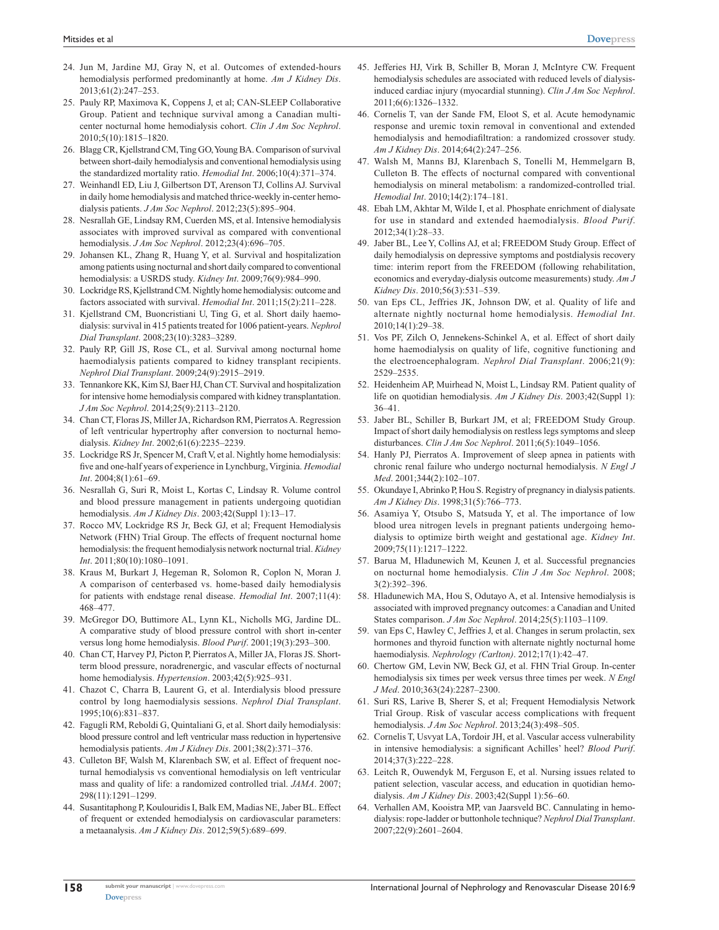- 24. Jun M, Jardine MJ, Gray N, et al. Outcomes of extended-hours hemodialysis performed predominantly at home. *Am J Kidney Dis*. 2013;61(2):247–253.
- 25. Pauly RP, Maximova K, Coppens J, et al; CAN-SLEEP Collaborative Group. Patient and technique survival among a Canadian multicenter nocturnal home hemodialysis cohort. *Clin J Am Soc Nephrol*. 2010;5(10):1815–1820.
- 26. Blagg CR, Kjellstrand CM, Ting GO, Young BA. Comparison of survival between short-daily hemodialysis and conventional hemodialysis using the standardized mortality ratio. *Hemodial Int*. 2006;10(4):371–374.
- 27. Weinhandl ED, Liu J, Gilbertson DT, Arenson TJ, Collins AJ. Survival in daily home hemodialysis and matched thrice-weekly in-center hemodialysis patients. *J Am Soc Nephrol*. 2012;23(5):895–904.
- 28. Nesrallah GE, Lindsay RM, Cuerden MS, et al. Intensive hemodialysis associates with improved survival as compared with conventional hemodialysis. *J Am Soc Nephrol*. 2012;23(4):696–705.
- 29. Johansen KL, Zhang R, Huang Y, et al. Survival and hospitalization among patients using nocturnal and short daily compared to conventional hemodialysis: a USRDS study. *Kidney Int*. 2009;76(9):984–990.
- 30. Lockridge RS, Kjellstrand CM. Nightly home hemodialysis: outcome and factors associated with survival. *Hemodial Int*. 2011;15(2):211–228.
- 31. Kjellstrand CM, Buoncristiani U, Ting G, et al. Short daily haemodialysis: survival in 415 patients treated for 1006 patient-years. *Nephrol Dial Transplant*. 2008;23(10):3283–3289.
- 32. Pauly RP, Gill JS, Rose CL, et al. Survival among nocturnal home haemodialysis patients compared to kidney transplant recipients. *Nephrol Dial Transplant*. 2009;24(9):2915–2919.
- 33. Tennankore KK, Kim SJ, Baer HJ, Chan CT. Survival and hospitalization for intensive home hemodialysis compared with kidney transplantation. *J Am Soc Nephrol*. 2014;25(9):2113–2120.
- 34. Chan CT, Floras JS, Miller JA, Richardson RM, Pierratos A. Regression of left ventricular hypertrophy after conversion to nocturnal hemodialysis. *Kidney Int*. 2002;61(6):2235–2239.
- 35. Lockridge RS Jr, Spencer M, Craft V, et al. Nightly home hemodialysis: five and one-half years of experience in Lynchburg, Virginia. *Hemodial Int*. 2004;8(1):61–69.
- 36. Nesrallah G, Suri R, Moist L, Kortas C, Lindsay R. Volume control and blood pressure management in patients undergoing quotidian hemodialysis. *Am J Kidney Dis*. 2003;42(Suppl 1):13–17.
- 37. Rocco MV, Lockridge RS Jr, Beck GJ, et al; Frequent Hemodialysis Network (FHN) Trial Group. The effects of frequent nocturnal home hemodialysis: the frequent hemodialysis network nocturnal trial. *Kidney Int*. 2011;80(10):1080–1091.
- 38. Kraus M, Burkart J, Hegeman R, Solomon R, Coplon N, Moran J. A comparison of centerbased vs. home-based daily hemodialysis for patients with endstage renal disease. *Hemodial Int*. 2007;11(4): 468–477.
- 39. McGregor DO, Buttimore AL, Lynn KL, Nicholls MG, Jardine DL. A comparative study of blood pressure control with short in-center versus long home hemodialysis. *Blood Purif*. 2001;19(3):293–300.
- 40. Chan CT, Harvey PJ, Picton P, Pierratos A, Miller JA, Floras JS. Shortterm blood pressure, noradrenergic, and vascular effects of nocturnal home hemodialysis. *Hypertension*. 2003;42(5):925–931.
- 41. Chazot C, Charra B, Laurent G, et al. Interdialysis blood pressure control by long haemodialysis sessions. *Nephrol Dial Transplant*. 1995;10(6):831–837.
- 42. Fagugli RM, Reboldi G, Quintaliani G, et al. Short daily hemodialysis: blood pressure control and left ventricular mass reduction in hypertensive hemodialysis patients. *Am J Kidney Dis*. 2001;38(2):371–376.
- 43. Culleton BF, Walsh M, Klarenbach SW, et al. Effect of frequent nocturnal hemodialysis vs conventional hemodialysis on left ventricular mass and quality of life: a randomized controlled trial. *JAMA*. 2007; 298(11):1291–1299.
- 44. Susantitaphong P, Koulouridis I, Balk EM, Madias NE, Jaber BL. Effect of frequent or extended hemodialysis on cardiovascular parameters: a metaanalysis. *Am J Kidney Dis*. 2012;59(5):689–699.
- 45. Jefferies HJ, Virk B, Schiller B, Moran J, McIntyre CW. Frequent hemodialysis schedules are associated with reduced levels of dialysisinduced cardiac injury (myocardial stunning). *Clin J Am Soc Nephrol*. 2011;6(6):1326–1332.
- 46. Cornelis T, van der Sande FM, Eloot S, et al. Acute hemodynamic response and uremic toxin removal in conventional and extended hemodialysis and hemodiafiltration: a randomized crossover study. *Am J Kidney Dis*. 2014;64(2):247–256.
- 47. Walsh M, Manns BJ, Klarenbach S, Tonelli M, Hemmelgarn B, Culleton B. The effects of nocturnal compared with conventional hemodialysis on mineral metabolism: a randomized-controlled trial. *Hemodial Int*. 2010;14(2):174–181.
- 48. Ebah LM, Akhtar M, Wilde I, et al. Phosphate enrichment of dialysate for use in standard and extended haemodialysis. *Blood Purif*. 2012;34(1):28–33.
- 49. Jaber BL, Lee Y, Collins AJ, et al; FREEDOM Study Group. Effect of daily hemodialysis on depressive symptoms and postdialysis recovery time: interim report from the FREEDOM (following rehabilitation, economics and everyday-dialysis outcome measurements) study. *Am J Kidney Dis*. 2010;56(3):531–539.
- 50. van Eps CL, Jeffries JK, Johnson DW, et al. Quality of life and alternate nightly nocturnal home hemodialysis. *Hemodial Int*. 2010;14(1):29–38.
- 51. Vos PF, Zilch O, Jennekens-Schinkel A, et al. Effect of short daily home haemodialysis on quality of life, cognitive functioning and the electroencephalogram. *Nephrol Dial Transplant*. 2006;21(9): 2529–2535.
- 52. Heidenheim AP, Muirhead N, Moist L, Lindsay RM. Patient quality of life on quotidian hemodialysis. *Am J Kidney Dis*. 2003;42(Suppl 1): 36–41.
- 53. Jaber BL, Schiller B, Burkart JM, et al; FREEDOM Study Group. Impact of short daily hemodialysis on restless legs symptoms and sleep disturbances. *Clin J Am Soc Nephrol*. 2011;6(5):1049–1056.
- 54. Hanly PJ, Pierratos A. Improvement of sleep apnea in patients with chronic renal failure who undergo nocturnal hemodialysis. *N Engl J Med*. 2001;344(2):102–107.
- 55. Okundaye I, Abrinko P, Hou S. Registry of pregnancy in dialysis patients. *Am J Kidney Dis*. 1998;31(5):766–773.
- 56. Asamiya Y, Otsubo S, Matsuda Y, et al. The importance of low blood urea nitrogen levels in pregnant patients undergoing hemodialysis to optimize birth weight and gestational age. *Kidney Int*. 2009;75(11):1217–1222.
- 57. Barua M, Hladunewich M, Keunen J, et al. Successful pregnancies on nocturnal home hemodialysis. *Clin J Am Soc Nephrol*. 2008; 3(2):392–396.
- 58. Hladunewich MA, Hou S, Odutayo A, et al. Intensive hemodialysis is associated with improved pregnancy outcomes: a Canadian and United States comparison. *J Am Soc Nephrol*. 2014;25(5):1103–1109.
- 59. van Eps C, Hawley C, Jeffries J, et al. Changes in serum prolactin, sex hormones and thyroid function with alternate nightly nocturnal home haemodialysis. *Nephrology (Carlton)*. 2012;17(1):42–47.
- 60. Chertow GM, Levin NW, Beck GJ, et al. FHN Trial Group. In-center hemodialysis six times per week versus three times per week. *N Engl J Med*. 2010;363(24):2287–2300.
- 61. Suri RS, Larive B, Sherer S, et al; Frequent Hemodialysis Network Trial Group. Risk of vascular access complications with frequent hemodialysis. *J Am Soc Nephrol*. 2013;24(3):498–505.
- 62. Cornelis T, Usvyat LA, Tordoir JH, et al. Vascular access vulnerability in intensive hemodialysis: a significant Achilles' heel? *Blood Purif*. 2014;37(3):222–228.
- 63. Leitch R, Ouwendyk M, Ferguson E, et al. Nursing issues related to patient selection, vascular access, and education in quotidian hemodialysis. *Am J Kidney Dis*. 2003;42(Suppl 1):56–60.
- 64. Verhallen AM, Kooistra MP, van Jaarsveld BC. Cannulating in hemodialysis: rope-ladder or buttonhole technique? *Nephrol Dial Transplant*. 2007;22(9):2601–2604.